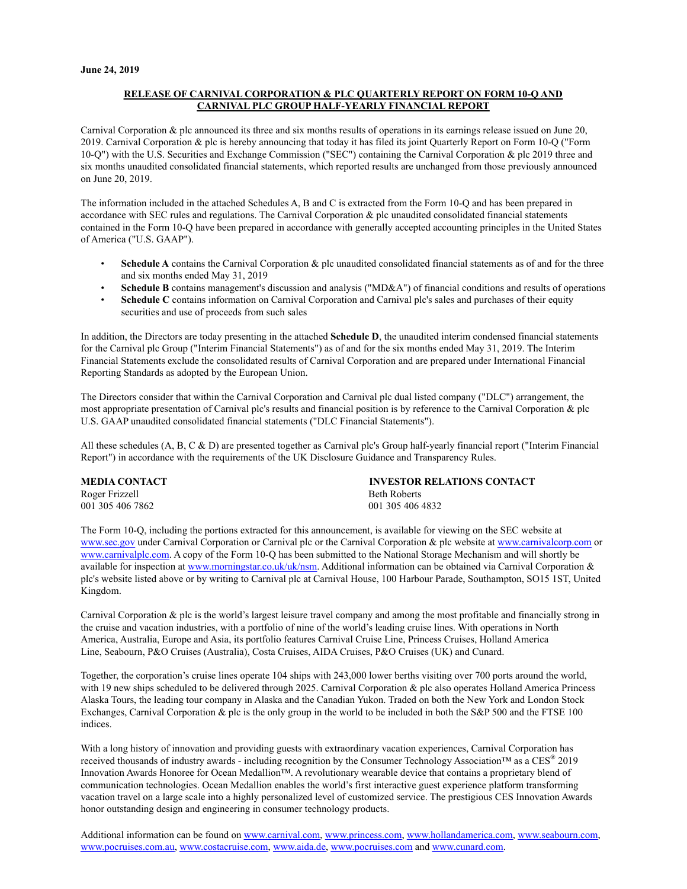### **RELEASE OF CARNIVAL CORPORATION & PLC QUARTERLY REPORT ON FORM 10-Q AND CARNIVAL PLC GROUP HALF-YEARLY FINANCIAL REPORT**

Carnival Corporation & plc announced its three and six months results of operations in its earnings release issued on June 20, 2019. Carnival Corporation & plc is hereby announcing that today it has filed its joint Quarterly Report on Form 10-Q ("Form 10-Q") with the U.S. Securities and Exchange Commission ("SEC") containing the Carnival Corporation & plc 2019 three and six months unaudited consolidated financial statements, which reported results are unchanged from those previously announced on June 20, 2019.

The information included in the attached Schedules A, B and C is extracted from the Form 10-Q and has been prepared in accordance with SEC rules and regulations. The Carnival Corporation & plc unaudited consolidated financial statements contained in the Form 10-Q have been prepared in accordance with generally accepted accounting principles in the United States of America ("U.S. GAAP").

- **Schedule A** contains the Carnival Corporation & plc unaudited consolidated financial statements as of and for the three and six months ended May 31, 2019
- **Schedule B** contains management's discussion and analysis ("MD&A") of financial conditions and results of operations
- **Schedule C** contains information on Carnival Corporation and Carnival plc's sales and purchases of their equity securities and use of proceeds from such sales

In addition, the Directors are today presenting in the attached **Schedule D**, the unaudited interim condensed financial statements for the Carnival plc Group ("Interim Financial Statements") as of and for the six months ended May 31, 2019. The Interim Financial Statements exclude the consolidated results of Carnival Corporation and are prepared under International Financial Reporting Standards as adopted by the European Union.

The Directors consider that within the Carnival Corporation and Carnival plc dual listed company ("DLC") arrangement, the most appropriate presentation of Carnival plc's results and financial position is by reference to the Carnival Corporation & plc U.S. GAAP unaudited consolidated financial statements ("DLC Financial Statements").

All these schedules (A, B, C & D) are presented together as Carnival plc's Group half-yearly financial report ("Interim Financial Report") in accordance with the requirements of the UK Disclosure Guidance and Transparency Rules.

| <b>MEDIA CONTACT</b> | <b>INVESTOR RELATIONS CONTACT</b> |
|----------------------|-----------------------------------|
| Roger Frizzell       | <b>Beth Roberts</b>               |
| 001 305 406 7862     | 001 305 406 4832                  |

The Form 10-Q, including the portions extracted for this announcement, is available for viewing on the SEC website at [www.sec.gov](http://www.sec.gov/) under Carnival Corporation or Carnival plc or the Carnival Corporation & plc website at [www.carnivalcorp.com](http://phx.corporate-ir.net/phoenix.zhtml?c=140690%26p=irol-index) or [www.carnivalplc.com](http://phx.corporate-ir.net/phoenix.zhtml?c=140690%26p=irol-index). A copy of the Form 10-Q has been submitted to the National Storage Mechanism and will shortly be available for inspection at [www.morningstar.co.uk/uk/nsm](http://www.morningstar.co.uk/uk/nsm). Additional information can be obtained via Carnival Corporation & plc's website listed above or by writing to Carnival plc at Carnival House, 100 Harbour Parade, Southampton, SO15 1ST, United Kingdom.

Carnival Corporation & plc is the world's largest leisure travel company and among the most profitable and financially strong in the cruise and vacation industries, with a portfolio of nine of the world's leading cruise lines. With operations in North America, Australia, Europe and Asia, its portfolio features Carnival Cruise Line, Princess Cruises, Holland America Line, Seabourn, P&O Cruises (Australia), Costa Cruises, AIDA Cruises, P&O Cruises (UK) and Cunard.

Together, the corporation's cruise lines operate 104 ships with 243,000 lower berths visiting over 700 ports around the world, with 19 new ships scheduled to be delivered through 2025. Carnival Corporation & plc also operates Holland America Princess Alaska Tours, the leading tour company in Alaska and the Canadian Yukon. Traded on both the New York and London Stock Exchanges, Carnival Corporation & plc is the only group in the world to be included in both the S&P 500 and the FTSE 100 indices.

With a long history of innovation and providing guests with extraordinary vacation experiences, Carnival Corporation has received thousands of industry awards - including recognition by the Consumer Technology Association™ as a  $CES^{\circledast}$  2019 Innovation Awards Honoree for Ocean Medallion™. A revolutionary wearable device that contains a proprietary blend of communication technologies. Ocean Medallion enables the world's first interactive guest experience platform transforming vacation travel on a large scale into a highly personalized level of customized service. The prestigious CES Innovation Awards honor outstanding design and engineering in consumer technology products.

Additional information can be found on [www.carnival.com,](www.carnival.com) [www.princess.com,](www.princess.com) [www.hollandamerica.com,](www.hollandamerica.com) [www.seabourn.com,](www.seabourn.com)  [www.pocruises.com.au,](www.pocruises.com.au) [www.costacruise.com,](www.costacruise.com) [www.aida.de,](www.aida.de) [www.pocruises.com a](www.pocruises.com)nd [www.cunard.com.](www.cunard.com)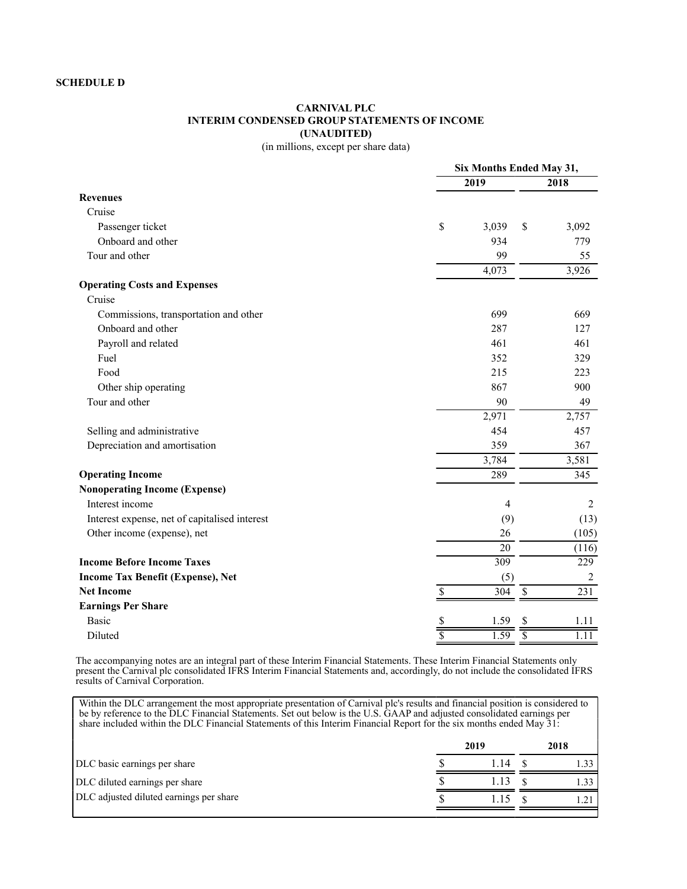# **CARNIVAL PLC INTERIM CONDENSED GROUP STATEMENTS OF INCOME (UNAUDITED)**

(in millions, except per share data)

|                                               |    | Six Months Ended May 31, |                |  |  |  |
|-----------------------------------------------|----|--------------------------|----------------|--|--|--|
|                                               |    | 2019                     | 2018           |  |  |  |
| <b>Revenues</b>                               |    |                          |                |  |  |  |
| Cruise                                        |    |                          |                |  |  |  |
| Passenger ticket                              | \$ | 3,039<br>\$              | 3,092          |  |  |  |
| Onboard and other                             |    | 934                      | 779            |  |  |  |
| Tour and other                                |    | 99                       | 55             |  |  |  |
|                                               |    | 4,073                    | 3,926          |  |  |  |
| <b>Operating Costs and Expenses</b>           |    |                          |                |  |  |  |
| Cruise                                        |    |                          |                |  |  |  |
| Commissions, transportation and other         |    | 699                      | 669            |  |  |  |
| Onboard and other                             |    | 287                      | 127            |  |  |  |
| Payroll and related                           |    | 461                      | 461            |  |  |  |
| Fuel                                          |    | 352                      | 329            |  |  |  |
| Food                                          |    | 215                      | 223            |  |  |  |
| Other ship operating                          |    | 867                      | 900            |  |  |  |
| Tour and other                                |    | 90                       | 49             |  |  |  |
|                                               |    | 2,971                    | 2,757          |  |  |  |
| Selling and administrative                    |    | 454                      | 457            |  |  |  |
| Depreciation and amortisation                 |    | 359                      | 367            |  |  |  |
|                                               |    | 3,784                    | 3,581          |  |  |  |
| <b>Operating Income</b>                       |    | 289                      | 345            |  |  |  |
| <b>Nonoperating Income (Expense)</b>          |    |                          |                |  |  |  |
| Interest income                               |    | $\overline{4}$           | 2              |  |  |  |
| Interest expense, net of capitalised interest |    | (9)                      | (13)           |  |  |  |
| Other income (expense), net                   |    | 26                       | (105)          |  |  |  |
|                                               |    | 20                       | (116)          |  |  |  |
| <b>Income Before Income Taxes</b>             |    | $\overline{309}$         | 229            |  |  |  |
| <b>Income Tax Benefit (Expense), Net</b>      |    | (5)                      | $\overline{2}$ |  |  |  |
| <b>Net Income</b>                             | \$ | $\mathcal{S}$<br>304     | 231            |  |  |  |
| <b>Earnings Per Share</b>                     |    |                          |                |  |  |  |
| <b>Basic</b>                                  | S  | 1.59<br>\$               | 1.11           |  |  |  |
| Diluted                                       |    | 1.59                     | 1.11           |  |  |  |

The accompanying notes are an integral part of these Interim Financial Statements. These Interim Financial Statements only present the Carnival plc consolidated IFRS Interim Financial Statements and, accordingly, do not include the consolidated IFRS results of Carnival Corporation.

Within the DLC arrangement the most appropriate presentation of Carnival plc's results and financial position is considered to be by reference to the DLC Financial Statements. Set out below is the U.S. GAAP and adjusted consolidated earnings per share included within the DLC Financial Statements of this Interim Financial Report for the six months ended May 31:

|  |      | 2018 |  |
|--|------|------|--|
|  | l 14 |      |  |
|  |      |      |  |
|  |      |      |  |
|  |      | 2019 |  |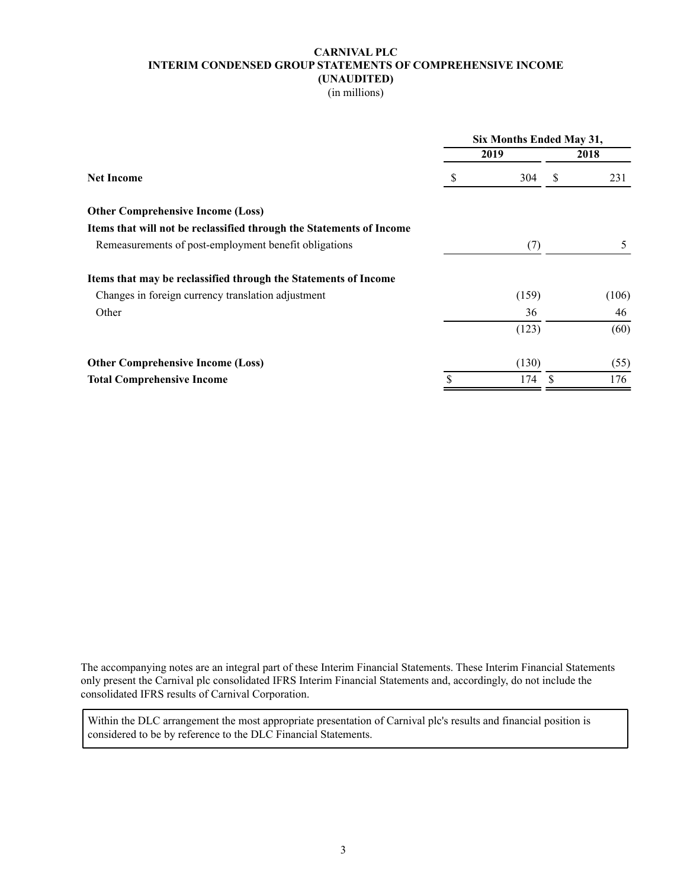# **CARNIVAL PLC INTERIM CONDENSED GROUP STATEMENTS OF COMPREHENSIVE INCOME (UNAUDITED)**

(in millions)

|                                                                                                                                                                                                                                                                                                                                        |           | Six Months Ended May 31, |       |  |  |  |
|----------------------------------------------------------------------------------------------------------------------------------------------------------------------------------------------------------------------------------------------------------------------------------------------------------------------------------------|-----------|--------------------------|-------|--|--|--|
|                                                                                                                                                                                                                                                                                                                                        | 2019      |                          | 2018  |  |  |  |
| \$<br><b>Net Income</b><br><b>Other Comprehensive Income (Loss)</b><br>Items that will not be reclassified through the Statements of Income<br>Remeasurements of post-employment benefit obligations<br>Items that may be reclassified through the Statements of Income<br>Changes in foreign currency translation adjustment<br>Other | 304       | -S                       | 231   |  |  |  |
|                                                                                                                                                                                                                                                                                                                                        |           |                          |       |  |  |  |
|                                                                                                                                                                                                                                                                                                                                        |           |                          |       |  |  |  |
|                                                                                                                                                                                                                                                                                                                                        | (7)       |                          | 5     |  |  |  |
|                                                                                                                                                                                                                                                                                                                                        |           |                          |       |  |  |  |
|                                                                                                                                                                                                                                                                                                                                        | (159)     |                          | (106) |  |  |  |
|                                                                                                                                                                                                                                                                                                                                        | 36        |                          | 46    |  |  |  |
|                                                                                                                                                                                                                                                                                                                                        | (123)     |                          | (60)  |  |  |  |
| <b>Other Comprehensive Income (Loss)</b>                                                                                                                                                                                                                                                                                               | (130)     |                          | (55)  |  |  |  |
| <b>Total Comprehensive Income</b>                                                                                                                                                                                                                                                                                                      | \$<br>174 |                          | 176   |  |  |  |
|                                                                                                                                                                                                                                                                                                                                        |           |                          |       |  |  |  |

The accompanying notes are an integral part of these Interim Financial Statements. These Interim Financial Statements only present the Carnival plc consolidated IFRS Interim Financial Statements and, accordingly, do not include the consolidated IFRS results of Carnival Corporation.

Within the DLC arrangement the most appropriate presentation of Carnival plc's results and financial position is considered to be by reference to the DLC Financial Statements.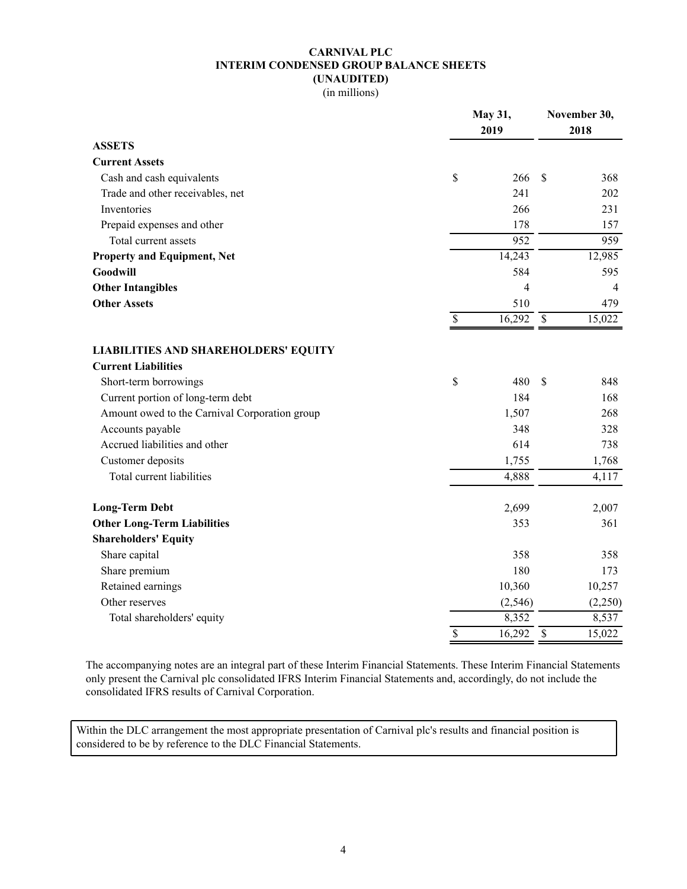# **CARNIVAL PLC INTERIM CONDENSED GROUP BALANCE SHEETS (UNAUDITED)**

(in millions)

|                                               |                          | May 31,<br>2019 |                          |         |
|-----------------------------------------------|--------------------------|-----------------|--------------------------|---------|
| <b>ASSETS</b>                                 |                          |                 |                          |         |
| <b>Current Assets</b>                         |                          |                 |                          |         |
| Cash and cash equivalents                     | \$                       | 266             | <sup>\$</sup>            | 368     |
| Trade and other receivables, net              |                          | 241             |                          | 202     |
| Inventories                                   |                          | 266             |                          | 231     |
| Prepaid expenses and other                    |                          | 178             |                          | 157     |
| Total current assets                          |                          | 952             |                          | 959     |
| <b>Property and Equipment, Net</b>            |                          | 14,243          |                          | 12,985  |
| Goodwill                                      |                          | 584             |                          | 595     |
| <b>Other Intangibles</b>                      |                          | 4               |                          | 4       |
| <b>Other Assets</b>                           |                          | 510             |                          | 479     |
|                                               | $\overline{\mathcal{S}}$ | 16,292          | $\overline{\mathcal{S}}$ | 15,022  |
| <b>LIABILITIES AND SHAREHOLDERS' EQUITY</b>   |                          |                 |                          |         |
| <b>Current Liabilities</b>                    |                          |                 |                          |         |
| Short-term borrowings                         | \$                       | 480             | $\mathbf S$              | 848     |
| Current portion of long-term debt             |                          | 184             |                          | 168     |
| Amount owed to the Carnival Corporation group |                          | 1,507           |                          | 268     |
| Accounts payable                              |                          | 348             |                          | 328     |
| Accrued liabilities and other                 |                          | 614             |                          | 738     |
| Customer deposits                             |                          | 1,755           |                          | 1,768   |
| Total current liabilities                     |                          | 4,888           |                          | 4,117   |
| <b>Long-Term Debt</b>                         |                          | 2,699           |                          | 2,007   |
| <b>Other Long-Term Liabilities</b>            |                          | 353             |                          | 361     |
| <b>Shareholders' Equity</b>                   |                          |                 |                          |         |
| Share capital                                 |                          | 358             |                          | 358     |
| Share premium                                 |                          | 180             |                          | 173     |
| Retained earnings                             |                          | 10,360          |                          | 10,257  |
| Other reserves                                |                          | (2, 546)        |                          | (2,250) |
| Total shareholders' equity                    |                          | 8,352           |                          | 8,537   |
|                                               | \$                       | 16,292          | $\mathcal{S}$            | 15,022  |

The accompanying notes are an integral part of these Interim Financial Statements. These Interim Financial Statements only present the Carnival plc consolidated IFRS Interim Financial Statements and, accordingly, do not include the consolidated IFRS results of Carnival Corporation.

Within the DLC arrangement the most appropriate presentation of Carnival plc's results and financial position is considered to be by reference to the DLC Financial Statements.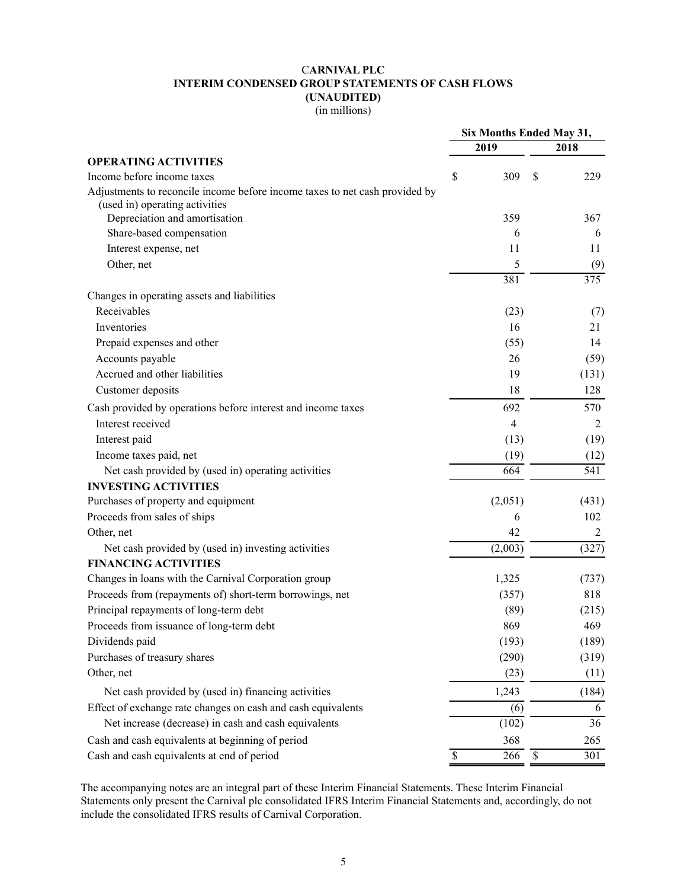# C**ARNIVAL PLC INTERIM CONDENSED GROUP STATEMENTS OF CASH FLOWS (UNAUDITED)**

(in millions)

|                                                                             | Six Months Ended May 31, |         |      |                         |
|-----------------------------------------------------------------------------|--------------------------|---------|------|-------------------------|
|                                                                             |                          | 2019    |      | 2018                    |
| <b>OPERATING ACTIVITIES</b>                                                 |                          |         |      |                         |
| Income before income taxes                                                  | \$                       | 309     | \$   | 229                     |
| Adjustments to reconcile income before income taxes to net cash provided by |                          |         |      |                         |
| (used in) operating activities                                              |                          |         |      |                         |
| Depreciation and amortisation                                               |                          | 359     |      | 367                     |
| Share-based compensation                                                    |                          | 6       |      | 6                       |
| Interest expense, net                                                       |                          | 11      |      | 11                      |
| Other, net                                                                  |                          | 5       |      | (9)<br>$\overline{375}$ |
| Changes in operating assets and liabilities                                 |                          | 381     |      |                         |
| Receivables                                                                 |                          | (23)    |      |                         |
| Inventories                                                                 |                          | 16      |      | (7)<br>21               |
|                                                                             |                          |         |      |                         |
| Prepaid expenses and other                                                  |                          | (55)    |      | 14                      |
| Accounts payable                                                            |                          | 26      |      | (59)                    |
| Accrued and other liabilities                                               |                          | 19      |      | (131)                   |
| Customer deposits                                                           |                          | 18      |      | 128                     |
| Cash provided by operations before interest and income taxes                |                          | 692     |      | 570                     |
| Interest received                                                           |                          | 4       |      | $\overline{2}$          |
| Interest paid                                                               |                          | (13)    |      | (19)                    |
| Income taxes paid, net                                                      |                          | (19)    |      | (12)                    |
| Net cash provided by (used in) operating activities                         |                          | 664     |      | 541                     |
| <b>INVESTING ACTIVITIES</b>                                                 |                          |         |      |                         |
| Purchases of property and equipment                                         |                          | (2,051) |      | (431)                   |
| Proceeds from sales of ships                                                |                          | 6       |      | 102                     |
| Other, net                                                                  |                          | 42      |      | $\overline{2}$          |
| Net cash provided by (used in) investing activities                         |                          | (2,003) |      | (327)                   |
| <b>FINANCING ACTIVITIES</b>                                                 |                          |         |      |                         |
| Changes in loans with the Carnival Corporation group                        |                          | 1,325   |      | (737)                   |
| Proceeds from (repayments of) short-term borrowings, net                    |                          | (357)   |      | 818                     |
| Principal repayments of long-term debt                                      |                          | (89)    |      | (215)                   |
| Proceeds from issuance of long-term debt                                    |                          | 869     |      | 469                     |
| Dividends paid                                                              |                          | (193)   |      | (189)                   |
| Purchases of treasury shares                                                |                          | (290)   |      | (319)                   |
| Other, net                                                                  |                          | (23)    |      | (11)                    |
| Net cash provided by (used in) financing activities                         |                          | 1,243   |      | (184)                   |
| Effect of exchange rate changes on cash and cash equivalents                |                          | (6)     |      | 6                       |
| Net increase (decrease) in cash and cash equivalents                        |                          | (102)   |      | 36                      |
| Cash and cash equivalents at beginning of period                            |                          | 368     |      | 265                     |
| Cash and cash equivalents at end of period                                  | $\mathcal{S}$            | 266     | $\$$ | 301                     |

The accompanying notes are an integral part of these Interim Financial Statements. These Interim Financial Statements only present the Carnival plc consolidated IFRS Interim Financial Statements and, accordingly, do not include the consolidated IFRS results of Carnival Corporation.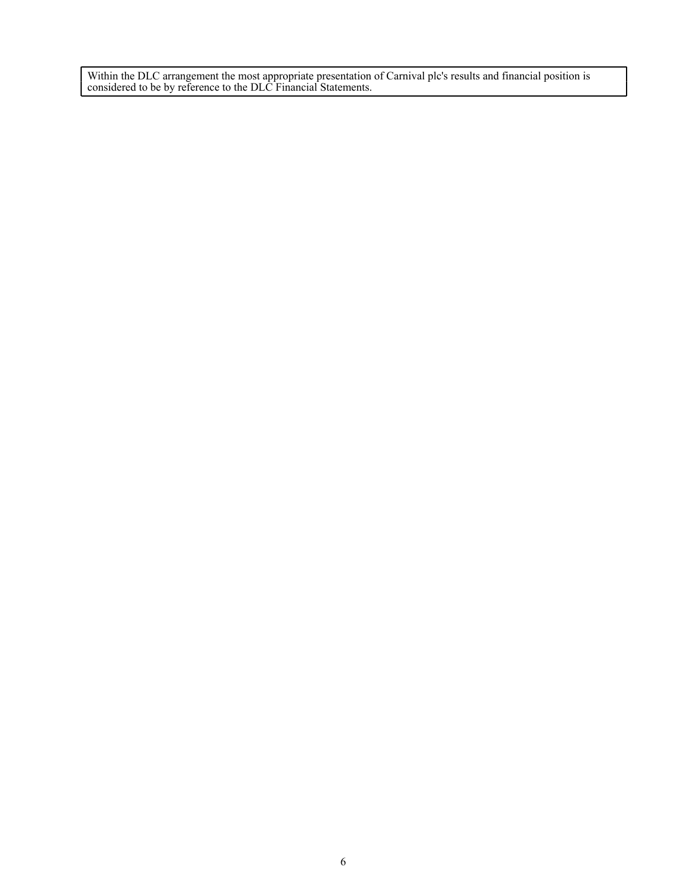Within the DLC arrangement the most appropriate presentation of Carnival plc's results and financial position is considered to be by reference to the DLC Financial Statements.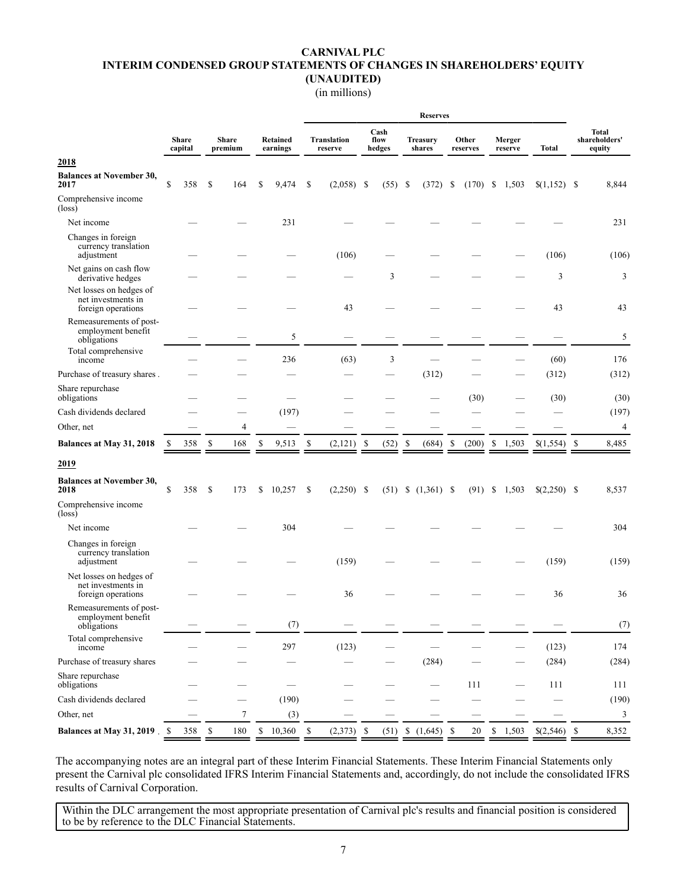# **CARNIVAL PLC INTERIM CONDENSED GROUP STATEMENTS OF CHANGES IN SHAREHOLDERS' EQUITY (UNAUDITED)**

## (in millions)

|                                                                     |               |                         |    |                         |                      | <b>Reserves</b> |                               |               |                        |    |                           |               |                   |                   |              |                                         |
|---------------------------------------------------------------------|---------------|-------------------------|----|-------------------------|----------------------|-----------------|-------------------------------|---------------|------------------------|----|---------------------------|---------------|-------------------|-------------------|--------------|-----------------------------------------|
|                                                                     |               | <b>Share</b><br>capital |    | <b>Share</b><br>premium | Retained<br>earnings |                 | <b>Translation</b><br>reserve |               | Cash<br>flow<br>hedges |    | <b>Treasury</b><br>shares |               | Other<br>reserves | Merger<br>reserve | <b>Total</b> | <b>Total</b><br>shareholders'<br>equity |
| 2018                                                                |               |                         |    |                         |                      |                 |                               |               |                        |    |                           |               |                   |                   |              |                                         |
| <b>Balances at November 30,</b><br>2017                             | <sup>\$</sup> | 358                     | \$ | 164                     | \$<br>9,474          | <sup>\$</sup>   | (2,058)                       | <sup>\$</sup> | (55)                   | \$ | (372)                     | \$            | (170)             | \$<br>1,503       |              | 8,844                                   |
| Comprehensive income<br>$(\text{loss})$                             |               |                         |    |                         |                      |                 |                               |               |                        |    |                           |               |                   |                   |              |                                         |
| Net income                                                          |               |                         |    |                         | 231                  |                 |                               |               |                        |    |                           |               |                   |                   |              | 231                                     |
| Changes in foreign<br>currency translation<br>adjustment            |               |                         |    |                         |                      |                 | (106)                         |               |                        |    |                           |               |                   |                   | (106)        | (106)                                   |
| Net gains on cash flow<br>derivative hedges                         |               |                         |    |                         |                      |                 |                               |               | 3                      |    |                           |               |                   |                   | 3            | 3                                       |
| Net losses on hedges of<br>net investments in<br>foreign operations |               |                         |    |                         |                      |                 | 43                            |               |                        |    |                           |               |                   |                   | 43           | 43                                      |
| Remeasurements of post-<br>employment benefit<br>obligations        |               |                         |    |                         | 5                    |                 |                               |               |                        |    |                           |               |                   |                   |              | 5                                       |
| Total comprehensive<br>income                                       |               |                         |    |                         | 236                  |                 | (63)                          |               | 3                      |    |                           |               |                   |                   | (60)         | 176                                     |
| Purchase of treasury shares.                                        |               |                         |    |                         |                      |                 |                               |               |                        |    | (312)                     |               |                   |                   | (312)        | (312)                                   |
| Share repurchase<br>obligations                                     |               |                         |    |                         |                      |                 |                               |               |                        |    |                           |               | (30)              |                   | (30)         | (30)                                    |
| Cash dividends declared                                             |               |                         |    |                         | (197)                |                 |                               |               |                        |    |                           |               |                   |                   |              | (197)                                   |
| Other, net                                                          |               |                         |    | $\overline{4}$          |                      |                 |                               |               |                        |    |                           |               |                   |                   |              | $\overline{4}$                          |
| Balances at May 31, 2018                                            | S             | 358                     | \$ | 168                     | \$<br>9,513          | \$              | $(2,121)$ \$                  |               | (52)                   | -S | (684)                     | <sup>\$</sup> | (200)             | \$<br>1,503       |              | 8,485                                   |
| 2019                                                                |               |                         |    |                         |                      |                 |                               |               |                        |    |                           |               |                   |                   |              |                                         |
| <b>Balances at November 30,</b><br>2018                             | $\mathbf S$   | 358                     | -S | 173                     | \$<br>10,257         | S               | $(2,250)$ \$                  |               | (51)                   | \$ | $(1,361)$ \$              |               | (91)              | \$<br>1,503       |              | 8,537                                   |
| Comprehensive income<br>$(\text{loss})$                             |               |                         |    |                         |                      |                 |                               |               |                        |    |                           |               |                   |                   |              |                                         |
| Net income                                                          |               |                         |    |                         | 304                  |                 |                               |               |                        |    |                           |               |                   |                   |              | 304                                     |
| Changes in foreign<br>currency translation<br>adjustment            |               |                         |    |                         |                      |                 | (159)                         |               |                        |    |                           |               |                   |                   | (159)        | (159)                                   |
| Net losses on hedges of<br>net investments in<br>foreign operations |               |                         |    |                         |                      |                 | 36                            |               |                        |    |                           |               |                   |                   | 36           | 36                                      |
| Remeasurements of post-<br>employment benefit<br>obligations        |               |                         |    |                         | (7)                  |                 |                               |               |                        |    |                           |               |                   |                   |              | (7)                                     |
| Total comprehensive<br>income                                       |               |                         |    |                         | 297                  |                 | (123)                         |               |                        |    |                           |               |                   |                   | (123)        | 174                                     |
| Purchase of treasury shares                                         |               |                         |    |                         |                      |                 |                               |               |                        |    | (284)                     |               |                   |                   | (284)        | (284)                                   |
| Share repurchase<br>obligations                                     |               |                         |    |                         |                      |                 |                               |               |                        |    |                           |               | 111               |                   | 111          | 111                                     |
| Cash dividends declared                                             |               |                         |    |                         | (190)                |                 |                               |               |                        |    |                           |               |                   |                   |              | (190)                                   |
| Other, net                                                          |               |                         |    | $\tau$                  | (3)                  |                 |                               |               |                        |    |                           |               |                   |                   |              | 3                                       |
| Balances at May 31, 2019. \$                                        |               | 358 \$                  |    | 180                     | $$10,360$ \$         |                 | $(2,373)$ \$                  |               |                        |    | $(51)$ \$ $(1,645)$ \$    |               | 20                | \$1,503           |              | 8,352                                   |

The accompanying notes are an integral part of these Interim Financial Statements. These Interim Financial Statements only present the Carnival plc consolidated IFRS Interim Financial Statements and, accordingly, do not include the consolidated IFRS results of Carnival Corporation.

Within the DLC arrangement the most appropriate presentation of Carnival plc's results and financial position is considered to be by reference to the DLC Financial Statements.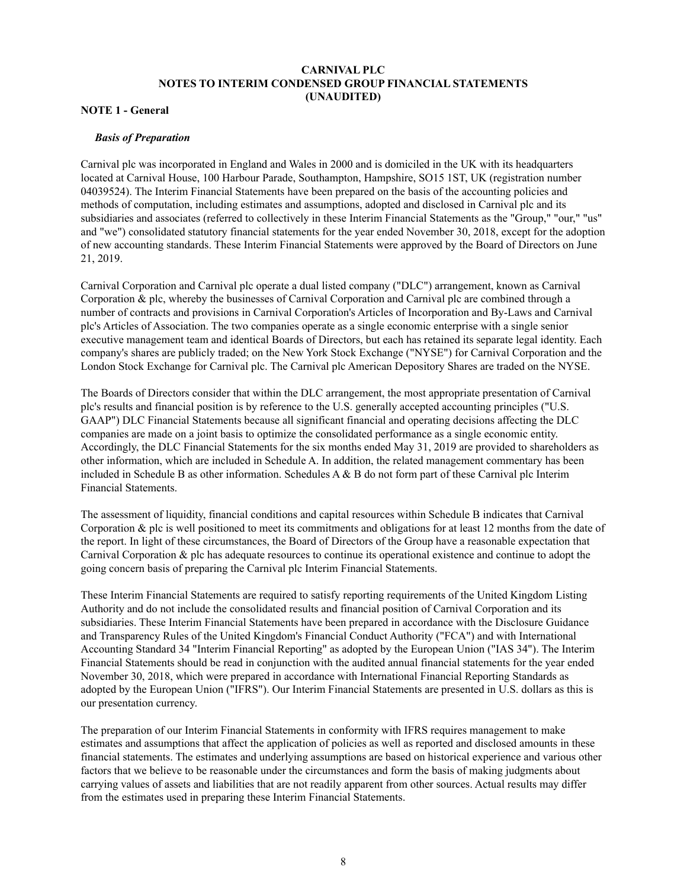# **CARNIVAL PLC NOTES TO INTERIM CONDENSED GROUP FINANCIAL STATEMENTS (UNAUDITED)**

## **NOTE 1 - General**

#### *Basis of Preparation*

Carnival plc was incorporated in England and Wales in 2000 and is domiciled in the UK with its headquarters located at Carnival House, 100 Harbour Parade, Southampton, Hampshire, SO15 1ST, UK (registration number 04039524). The Interim Financial Statements have been prepared on the basis of the accounting policies and methods of computation, including estimates and assumptions, adopted and disclosed in Carnival plc and its subsidiaries and associates (referred to collectively in these Interim Financial Statements as the "Group," "our," "us" and "we") consolidated statutory financial statements for the year ended November 30, 2018, except for the adoption of new accounting standards. These Interim Financial Statements were approved by the Board of Directors on June 21, 2019.

Carnival Corporation and Carnival plc operate a dual listed company ("DLC") arrangement, known as Carnival Corporation & plc, whereby the businesses of Carnival Corporation and Carnival plc are combined through a number of contracts and provisions in Carnival Corporation's Articles of Incorporation and By-Laws and Carnival plc's Articles of Association. The two companies operate as a single economic enterprise with a single senior executive management team and identical Boards of Directors, but each has retained its separate legal identity. Each company's shares are publicly traded; on the New York Stock Exchange ("NYSE") for Carnival Corporation and the London Stock Exchange for Carnival plc. The Carnival plc American Depository Shares are traded on the NYSE.

The Boards of Directors consider that within the DLC arrangement, the most appropriate presentation of Carnival plc's results and financial position is by reference to the U.S. generally accepted accounting principles ("U.S. GAAP") DLC Financial Statements because all significant financial and operating decisions affecting the DLC companies are made on a joint basis to optimize the consolidated performance as a single economic entity. Accordingly, the DLC Financial Statements for the six months ended May 31, 2019 are provided to shareholders as other information, which are included in Schedule A. In addition, the related management commentary has been included in Schedule B as other information. Schedules  $A \& B$  do not form part of these Carnival plc Interim Financial Statements.

The assessment of liquidity, financial conditions and capital resources within Schedule B indicates that Carnival Corporation & plc is well positioned to meet its commitments and obligations for at least 12 months from the date of the report. In light of these circumstances, the Board of Directors of the Group have a reasonable expectation that Carnival Corporation & plc has adequate resources to continue its operational existence and continue to adopt the going concern basis of preparing the Carnival plc Interim Financial Statements.

These Interim Financial Statements are required to satisfy reporting requirements of the United Kingdom Listing Authority and do not include the consolidated results and financial position of Carnival Corporation and its subsidiaries. These Interim Financial Statements have been prepared in accordance with the Disclosure Guidance and Transparency Rules of the United Kingdom's Financial Conduct Authority ("FCA") and with International Accounting Standard 34 "Interim Financial Reporting" as adopted by the European Union ("IAS 34"). The Interim Financial Statements should be read in conjunction with the audited annual financial statements for the year ended November 30, 2018, which were prepared in accordance with International Financial Reporting Standards as adopted by the European Union ("IFRS"). Our Interim Financial Statements are presented in U.S. dollars as this is our presentation currency.

The preparation of our Interim Financial Statements in conformity with IFRS requires management to make estimates and assumptions that affect the application of policies as well as reported and disclosed amounts in these financial statements. The estimates and underlying assumptions are based on historical experience and various other factors that we believe to be reasonable under the circumstances and form the basis of making judgments about carrying values of assets and liabilities that are not readily apparent from other sources. Actual results may differ from the estimates used in preparing these Interim Financial Statements.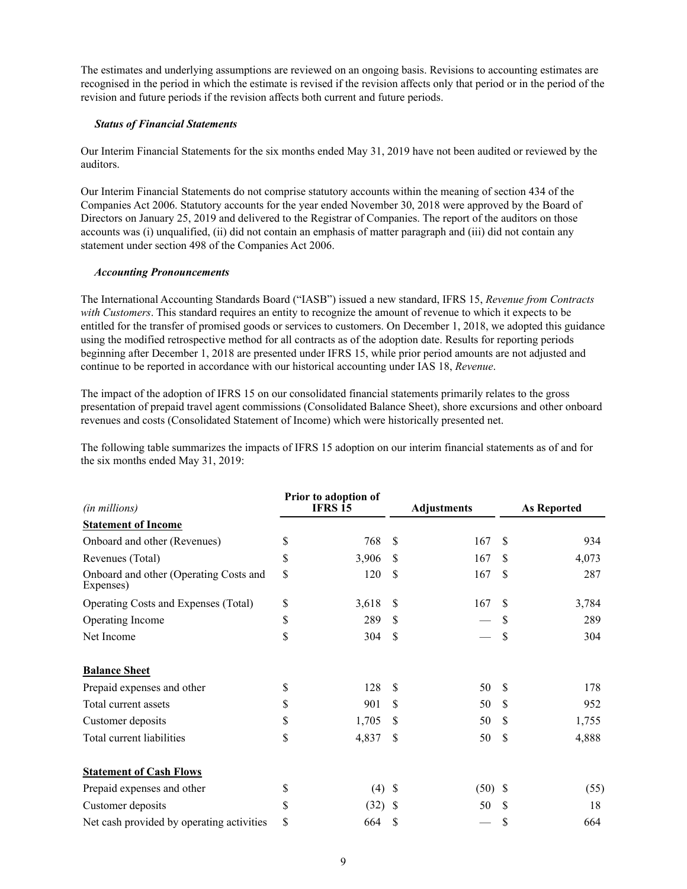The estimates and underlying assumptions are reviewed on an ongoing basis. Revisions to accounting estimates are recognised in the period in which the estimate is revised if the revision affects only that period or in the period of the revision and future periods if the revision affects both current and future periods.

## *Status of Financial Statements*

Our Interim Financial Statements for the six months ended May 31, 2019 have not been audited or reviewed by the auditors.

Our Interim Financial Statements do not comprise statutory accounts within the meaning of section 434 of the Companies Act 2006. Statutory accounts for the year ended November 30, 2018 were approved by the Board of Directors on January 25, 2019 and delivered to the Registrar of Companies. The report of the auditors on those accounts was (i) unqualified, (ii) did not contain an emphasis of matter paragraph and (iii) did not contain any statement under section 498 of the Companies Act 2006.

### *Accounting Pronouncements*

The International Accounting Standards Board ("IASB") issued a new standard, IFRS 15, *Revenue from Contracts with Customers*. This standard requires an entity to recognize the amount of revenue to which it expects to be entitled for the transfer of promised goods or services to customers. On December 1, 2018, we adopted this guidance using the modified retrospective method for all contracts as of the adoption date. Results for reporting periods beginning after December 1, 2018 are presented under IFRS 15, while prior period amounts are not adjusted and continue to be reported in accordance with our historical accounting under IAS 18, *Revenue*.

The impact of the adoption of IFRS 15 on our consolidated financial statements primarily relates to the gross presentation of prepaid travel agent commissions (Consolidated Balance Sheet), shore excursions and other onboard revenues and costs (Consolidated Statement of Income) which were historically presented net.

The following table summarizes the impacts of IFRS 15 adoption on our interim financial statements as of and for the six months ended May 31, 2019:

| (in millions)                                       |    | Prior to adoption of<br><b>IFRS 15</b> |               | <b>Adjustments</b> | <b>As Reported</b> |       |  |
|-----------------------------------------------------|----|----------------------------------------|---------------|--------------------|--------------------|-------|--|
| <b>Statement of Income</b>                          |    |                                        |               |                    |                    |       |  |
| Onboard and other (Revenues)                        | \$ | 768                                    | <sup>\$</sup> | 167                | S                  | 934   |  |
| Revenues (Total)                                    | \$ | 3,906                                  | <sup>\$</sup> | 167                | \$                 | 4,073 |  |
| Onboard and other (Operating Costs and<br>Expenses) | \$ | 120                                    | \$            | 167                | \$                 | 287   |  |
| Operating Costs and Expenses (Total)                | \$ | 3,618                                  | <sup>\$</sup> | 167                | \$                 | 3,784 |  |
| Operating Income                                    | \$ | 289                                    | \$.           |                    | S                  | 289   |  |
| Net Income                                          | \$ | 304                                    | S             |                    | \$                 | 304   |  |
| <b>Balance Sheet</b>                                |    |                                        |               |                    |                    |       |  |
| Prepaid expenses and other                          | \$ | 128                                    | S             | 50                 | S                  | 178   |  |
| Total current assets                                | \$ | 901                                    | \$            | 50                 | <sup>\$</sup>      | 952   |  |
| Customer deposits                                   | \$ | 1,705                                  | \$.           | 50                 | <sup>\$</sup>      | 1,755 |  |
| Total current liabilities                           | \$ | 4,837                                  | S             | 50                 | \$                 | 4,888 |  |
| <b>Statement of Cash Flows</b>                      |    |                                        |               |                    |                    |       |  |
| Prepaid expenses and other                          | \$ | $(4)$ \$                               |               | $(50)$ \$          |                    | (55)  |  |
| Customer deposits                                   | \$ | $(32)$ \$                              |               | 50                 | S                  | 18    |  |
| Net cash provided by operating activities           | \$ | 664                                    | S             |                    | \$                 | 664   |  |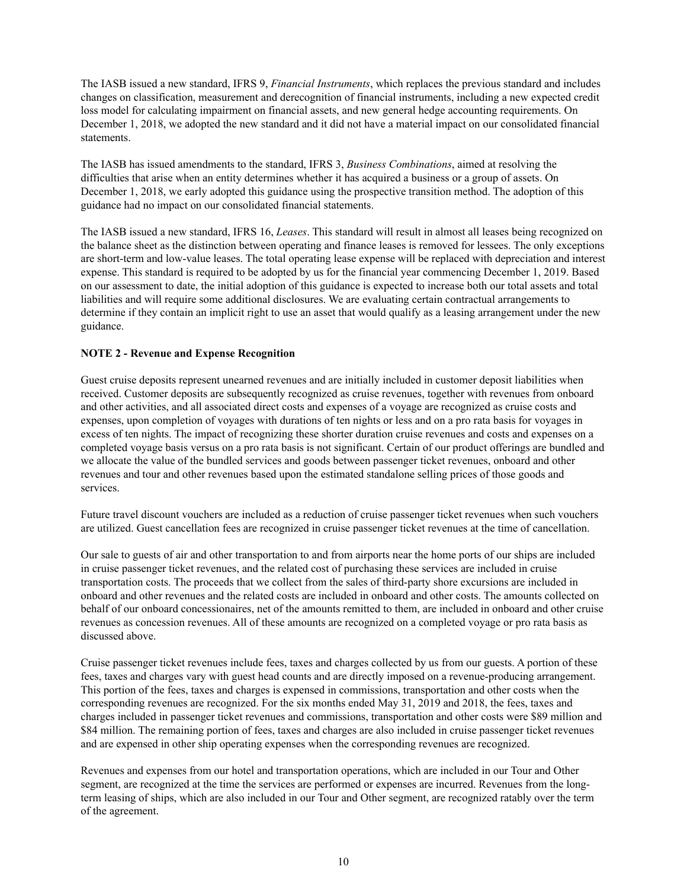The IASB issued a new standard, IFRS 9, *Financial Instruments*, which replaces the previous standard and includes changes on classification, measurement and derecognition of financial instruments, including a new expected credit loss model for calculating impairment on financial assets, and new general hedge accounting requirements. On December 1, 2018, we adopted the new standard and it did not have a material impact on our consolidated financial statements.

The IASB has issued amendments to the standard, IFRS 3, *Business Combinations*, aimed at resolving the difficulties that arise when an entity determines whether it has acquired a business or a group of assets. On December 1, 2018, we early adopted this guidance using the prospective transition method. The adoption of this guidance had no impact on our consolidated financial statements.

The IASB issued a new standard, IFRS 16, *Leases*. This standard will result in almost all leases being recognized on the balance sheet as the distinction between operating and finance leases is removed for lessees. The only exceptions are short-term and low-value leases. The total operating lease expense will be replaced with depreciation and interest expense. This standard is required to be adopted by us for the financial year commencing December 1, 2019. Based on our assessment to date, the initial adoption of this guidance is expected to increase both our total assets and total liabilities and will require some additional disclosures. We are evaluating certain contractual arrangements to determine if they contain an implicit right to use an asset that would qualify as a leasing arrangement under the new guidance.

## **NOTE 2 - Revenue and Expense Recognition**

Guest cruise deposits represent unearned revenues and are initially included in customer deposit liabilities when received. Customer deposits are subsequently recognized as cruise revenues, together with revenues from onboard and other activities, and all associated direct costs and expenses of a voyage are recognized as cruise costs and expenses, upon completion of voyages with durations of ten nights or less and on a pro rata basis for voyages in excess of ten nights. The impact of recognizing these shorter duration cruise revenues and costs and expenses on a completed voyage basis versus on a pro rata basis is not significant. Certain of our product offerings are bundled and we allocate the value of the bundled services and goods between passenger ticket revenues, onboard and other revenues and tour and other revenues based upon the estimated standalone selling prices of those goods and services.

Future travel discount vouchers are included as a reduction of cruise passenger ticket revenues when such vouchers are utilized. Guest cancellation fees are recognized in cruise passenger ticket revenues at the time of cancellation.

Our sale to guests of air and other transportation to and from airports near the home ports of our ships are included in cruise passenger ticket revenues, and the related cost of purchasing these services are included in cruise transportation costs. The proceeds that we collect from the sales of third-party shore excursions are included in onboard and other revenues and the related costs are included in onboard and other costs. The amounts collected on behalf of our onboard concessionaires, net of the amounts remitted to them, are included in onboard and other cruise revenues as concession revenues. All of these amounts are recognized on a completed voyage or pro rata basis as discussed above.

Cruise passenger ticket revenues include fees, taxes and charges collected by us from our guests. A portion of these fees, taxes and charges vary with guest head counts and are directly imposed on a revenue-producing arrangement. This portion of the fees, taxes and charges is expensed in commissions, transportation and other costs when the corresponding revenues are recognized. For the six months ended May 31, 2019 and 2018, the fees, taxes and charges included in passenger ticket revenues and commissions, transportation and other costs were \$89 million and \$84 million. The remaining portion of fees, taxes and charges are also included in cruise passenger ticket revenues and are expensed in other ship operating expenses when the corresponding revenues are recognized.

Revenues and expenses from our hotel and transportation operations, which are included in our Tour and Other segment, are recognized at the time the services are performed or expenses are incurred. Revenues from the longterm leasing of ships, which are also included in our Tour and Other segment, are recognized ratably over the term of the agreement.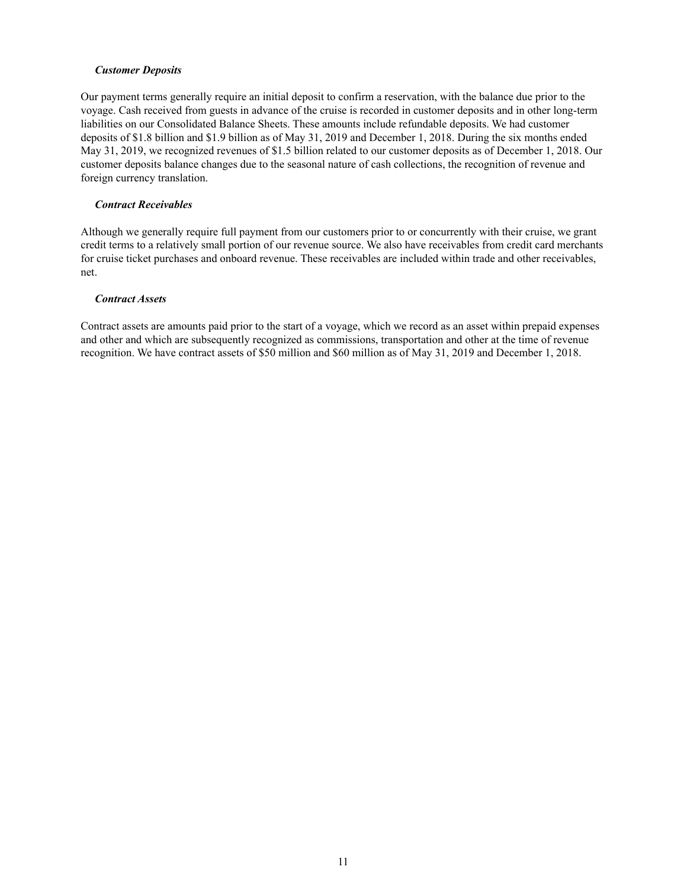### *Customer Deposits*

Our payment terms generally require an initial deposit to confirm a reservation, with the balance due prior to the voyage. Cash received from guests in advance of the cruise is recorded in customer deposits and in other long-term liabilities on our Consolidated Balance Sheets. These amounts include refundable deposits. We had customer deposits of \$1.8 billion and \$1.9 billion as of May 31, 2019 and December 1, 2018. During the six months ended May 31, 2019, we recognized revenues of \$1.5 billion related to our customer deposits as of December 1, 2018. Our customer deposits balance changes due to the seasonal nature of cash collections, the recognition of revenue and foreign currency translation.

## *Contract Receivables*

Although we generally require full payment from our customers prior to or concurrently with their cruise, we grant credit terms to a relatively small portion of our revenue source. We also have receivables from credit card merchants for cruise ticket purchases and onboard revenue. These receivables are included within trade and other receivables, net.

### *Contract Assets*

Contract assets are amounts paid prior to the start of a voyage, which we record as an asset within prepaid expenses and other and which are subsequently recognized as commissions, transportation and other at the time of revenue recognition. We have contract assets of \$50 million and \$60 million as of May 31, 2019 and December 1, 2018.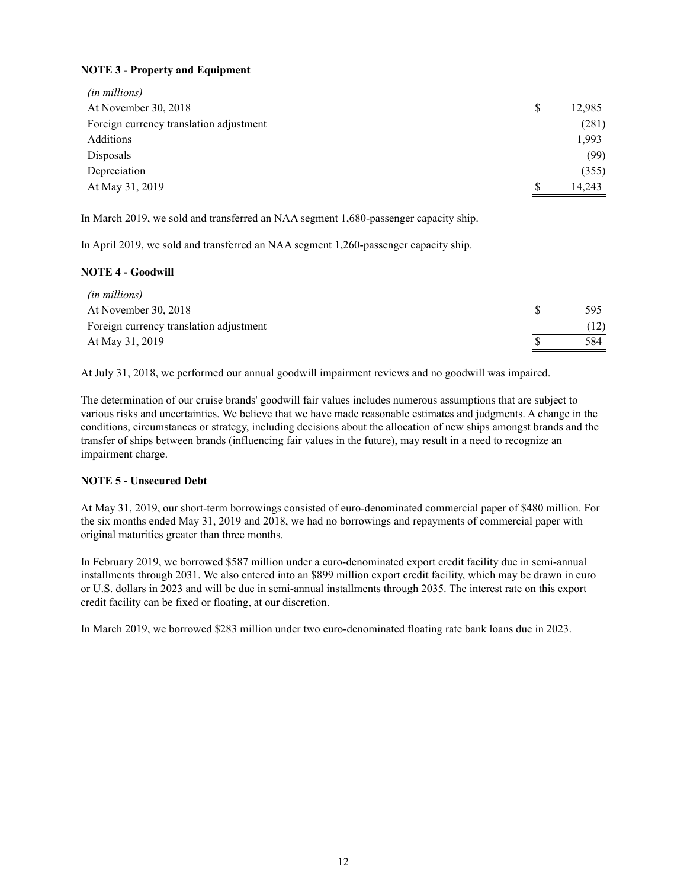# **NOTE 3 - Property and Equipment**

| (in millions)                           |        |
|-----------------------------------------|--------|
| At November 30, 2018                    | 12,985 |
| Foreign currency translation adjustment | (281)  |
| Additions                               | 1,993  |
| Disposals                               | (99)   |
| Depreciation                            | (355)  |
| At May 31, 2019                         | 14,243 |

In March 2019, we sold and transferred an NAA segment 1,680-passenger capacity ship.

In April 2019, we sold and transferred an NAA segment 1,260-passenger capacity ship.

## **NOTE 4 - Goodwill**

| <i>(in millions)</i>                    |     |
|-----------------------------------------|-----|
| At November 30, 2018                    | 595 |
| Foreign currency translation adjustment |     |
| At May 31, 2019                         | 584 |

At July 31, 2018, we performed our annual goodwill impairment reviews and no goodwill was impaired.

The determination of our cruise brands' goodwill fair values includes numerous assumptions that are subject to various risks and uncertainties. We believe that we have made reasonable estimates and judgments. A change in the conditions, circumstances or strategy, including decisions about the allocation of new ships amongst brands and the transfer of ships between brands (influencing fair values in the future), may result in a need to recognize an impairment charge.

# **NOTE 5 - Unsecured Debt**

At May 31, 2019, our short-term borrowings consisted of euro-denominated commercial paper of \$480 million. For the six months ended May 31, 2019 and 2018, we had no borrowings and repayments of commercial paper with original maturities greater than three months.

In February 2019, we borrowed \$587 million under a euro-denominated export credit facility due in semi-annual installments through 2031. We also entered into an \$899 million export credit facility, which may be drawn in euro or U.S. dollars in 2023 and will be due in semi-annual installments through 2035. The interest rate on this export credit facility can be fixed or floating, at our discretion.

In March 2019, we borrowed \$283 million under two euro-denominated floating rate bank loans due in 2023.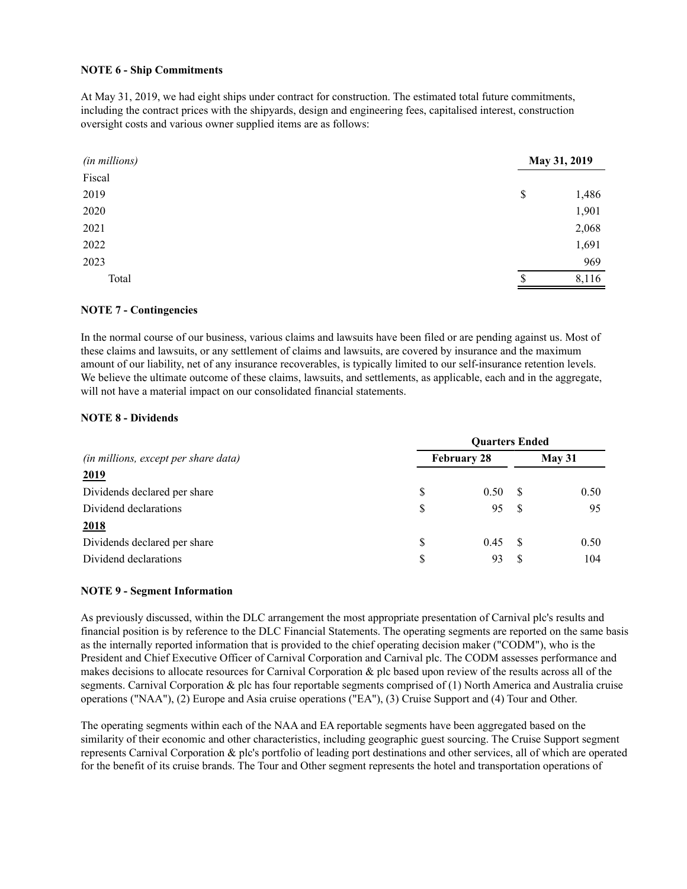## **NOTE 6 - Ship Commitments**

At May 31, 2019, we had eight ships under contract for construction. The estimated total future commitments, including the contract prices with the shipyards, design and engineering fees, capitalised interest, construction oversight costs and various owner supplied items are as follows:

| (in millions) | May 31, 2019 |
|---------------|--------------|
| Fiscal        |              |
| 2019          | \$<br>1,486  |
| 2020          | 1,901        |
| 2021          | 2,068        |
| 2022          | 1,691        |
| 2023          | 969          |
| Total         | 8,116<br>\$. |

### **NOTE 7 - Contingencies**

In the normal course of our business, various claims and lawsuits have been filed or are pending against us. Most of these claims and lawsuits, or any settlement of claims and lawsuits, are covered by insurance and the maximum amount of our liability, net of any insurance recoverables, is typically limited to our self-insurance retention levels. We believe the ultimate outcome of these claims, lawsuits, and settlements, as applicable, each and in the aggregate, will not have a material impact on our consolidated financial statements.

### **NOTE 8 - Dividends**

|                                      | <b>Ouarters Ended</b> |      |        |      |  |  |  |  |  |  |
|--------------------------------------|-----------------------|------|--------|------|--|--|--|--|--|--|
| (in millions, except per share data) | <b>February 28</b>    |      | May 31 |      |  |  |  |  |  |  |
| <u>2019</u>                          |                       |      |        |      |  |  |  |  |  |  |
| Dividends declared per share         | S                     | 0.50 | -8     | 0.50 |  |  |  |  |  |  |
| Dividend declarations                | \$                    | 95   | - \$   | 95   |  |  |  |  |  |  |
| 2018                                 |                       |      |        |      |  |  |  |  |  |  |
| Dividends declared per share         | \$                    | 0.45 | - \$   | 0.50 |  |  |  |  |  |  |
| Dividend declarations                | \$                    | 93   |        | 104  |  |  |  |  |  |  |

### **NOTE 9 - Segment Information**

As previously discussed, within the DLC arrangement the most appropriate presentation of Carnival plc's results and financial position is by reference to the DLC Financial Statements. The operating segments are reported on the same basis as the internally reported information that is provided to the chief operating decision maker ("CODM"), who is the President and Chief Executive Officer of Carnival Corporation and Carnival plc. The CODM assesses performance and makes decisions to allocate resources for Carnival Corporation & plc based upon review of the results across all of the segments. Carnival Corporation & plc has four reportable segments comprised of (1) North America and Australia cruise operations ("NAA"), (2) Europe and Asia cruise operations ("EA"), (3) Cruise Support and (4) Tour and Other.

The operating segments within each of the NAA and EA reportable segments have been aggregated based on the similarity of their economic and other characteristics, including geographic guest sourcing. The Cruise Support segment represents Carnival Corporation & plc's portfolio of leading port destinations and other services, all of which are operated for the benefit of its cruise brands. The Tour and Other segment represents the hotel and transportation operations of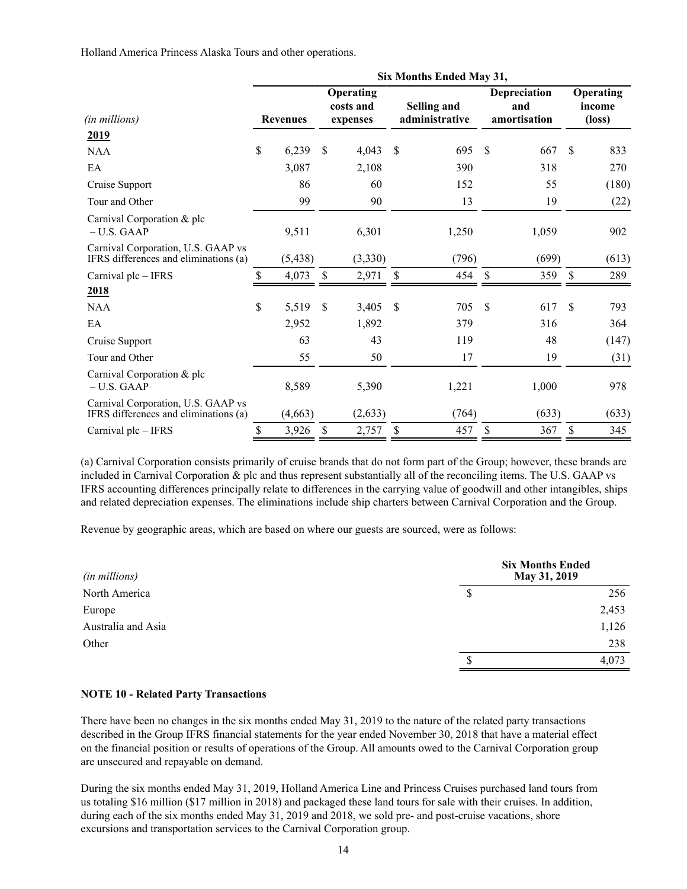Holland America Princess Alaska Tours and other operations.

|                                                                             |    |                 |               | Six Months Ended May 31,           |               |                               |    |                                     |    |                                        |  |  |
|-----------------------------------------------------------------------------|----|-----------------|---------------|------------------------------------|---------------|-------------------------------|----|-------------------------------------|----|----------------------------------------|--|--|
| (in millions)                                                               |    | <b>Revenues</b> |               | Operating<br>costs and<br>expenses |               | Selling and<br>administrative |    | Depreciation<br>and<br>amortisation |    | Operating<br>income<br>$(\text{loss})$ |  |  |
| 2019                                                                        |    |                 |               |                                    |               |                               |    |                                     |    |                                        |  |  |
| <b>NAA</b>                                                                  | \$ | 6,239           | <sup>\$</sup> | 4,043                              | <sup>\$</sup> | 695                           | \$ | 667                                 | \$ | 833                                    |  |  |
| EA                                                                          |    | 3,087           |               | 2,108                              |               | 390                           |    | 318                                 |    | 270                                    |  |  |
| Cruise Support                                                              |    | 86              |               | 60                                 |               | 152                           |    | 55                                  |    | (180)                                  |  |  |
| Tour and Other                                                              |    | 99              |               | 90                                 |               | 13                            |    | 19                                  |    | (22)                                   |  |  |
| Carnival Corporation & plc<br>$- U.S. GAAP$                                 |    | 9,511           |               | 6,301                              |               | 1,250                         |    | 1,059                               |    | 902                                    |  |  |
| Carnival Corporation, U.S. GAAP vs<br>IFRS differences and eliminations (a) |    | (5, 438)        |               | (3,330)                            |               | (796)                         |    | (699)                               |    | (613)                                  |  |  |
| Carnival plc - IFRS                                                         | \$ | 4,073           | \$            | 2,971                              | $\mathcal{S}$ | 454                           | \$ | 359                                 | \$ | 289                                    |  |  |
| 2018                                                                        |    |                 |               |                                    |               |                               |    |                                     |    |                                        |  |  |
| <b>NAA</b>                                                                  | \$ | 5,519           | \$            | 3,405                              | \$            | 705                           | \$ | 617                                 | \$ | 793                                    |  |  |
| EA                                                                          |    | 2,952           |               | 1,892                              |               | 379                           |    | 316                                 |    | 364                                    |  |  |
| Cruise Support                                                              |    | 63              |               | 43                                 |               | 119                           |    | 48                                  |    | (147)                                  |  |  |
| Tour and Other                                                              |    | 55              |               | 50                                 |               | 17                            |    | 19                                  |    | (31)                                   |  |  |
| Carnival Corporation & plc<br>$- U.S. GAAP$                                 |    | 8,589           |               | 5,390                              |               | 1,221                         |    | 1,000                               |    | 978                                    |  |  |
| Carnival Corporation, U.S. GAAP vs<br>IFRS differences and eliminations (a) |    | (4,663)         |               | (2,633)                            |               | (764)                         |    | (633)                               |    | (633)                                  |  |  |
| Carnival plc - IFRS                                                         | \$ | 3,926           | \$            | 2,757                              | $\mathcal{S}$ | 457                           | \$ | 367                                 | \$ | 345                                    |  |  |

(a) Carnival Corporation consists primarily of cruise brands that do not form part of the Group; however, these brands are included in Carnival Corporation & plc and thus represent substantially all of the reconciling items. The U.S. GAAP vs IFRS accounting differences principally relate to differences in the carrying value of goodwill and other intangibles, ships and related depreciation expenses. The eliminations include ship charters between Carnival Corporation and the Group.

Revenue by geographic areas, which are based on where our guests are sourced, were as follows:

| (in millions)      | <b>Six Months Ended</b><br>May 31, 2019 |       |  |  |  |  |  |
|--------------------|-----------------------------------------|-------|--|--|--|--|--|
| North America      | \$                                      | 256   |  |  |  |  |  |
| Europe             |                                         | 2,453 |  |  |  |  |  |
| Australia and Asia |                                         | 1,126 |  |  |  |  |  |
| Other              |                                         | 238   |  |  |  |  |  |
|                    |                                         | 4,073 |  |  |  |  |  |
|                    |                                         |       |  |  |  |  |  |

### **NOTE 10 - Related Party Transactions**

There have been no changes in the six months ended May 31, 2019 to the nature of the related party transactions described in the Group IFRS financial statements for the year ended November 30, 2018 that have a material effect on the financial position or results of operations of the Group. All amounts owed to the Carnival Corporation group are unsecured and repayable on demand.

During the six months ended May 31, 2019, Holland America Line and Princess Cruises purchased land tours from us totaling \$16 million (\$17 million in 2018) and packaged these land tours for sale with their cruises. In addition, during each of the six months ended May 31, 2019 and 2018, we sold pre- and post-cruise vacations, shore excursions and transportation services to the Carnival Corporation group.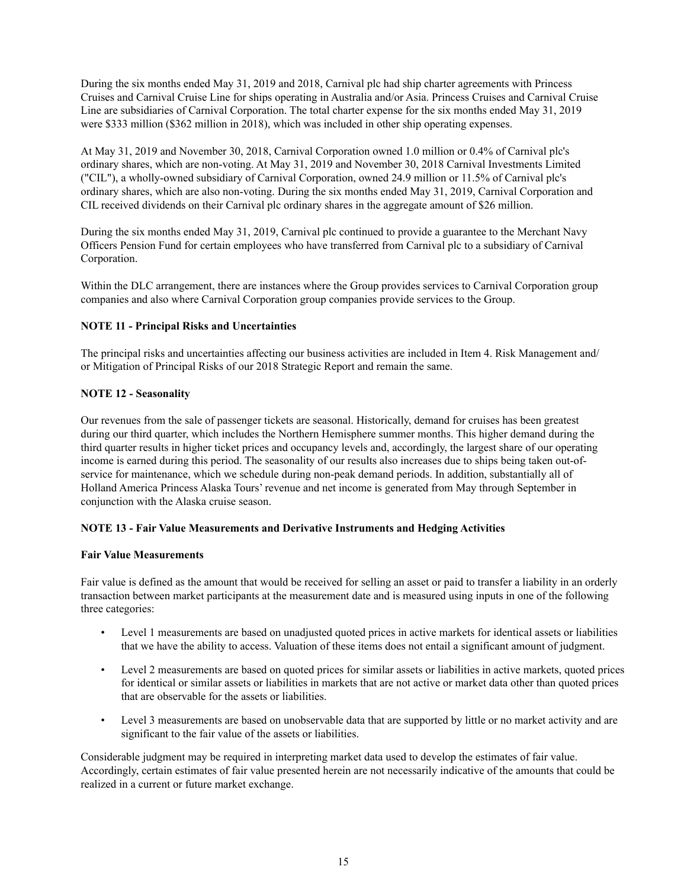During the six months ended May 31, 2019 and 2018, Carnival plc had ship charter agreements with Princess Cruises and Carnival Cruise Line for ships operating in Australia and/or Asia. Princess Cruises and Carnival Cruise Line are subsidiaries of Carnival Corporation. The total charter expense for the six months ended May 31, 2019 were \$333 million (\$362 million in 2018), which was included in other ship operating expenses.

At May 31, 2019 and November 30, 2018, Carnival Corporation owned 1.0 million or 0.4% of Carnival plc's ordinary shares, which are non-voting. At May 31, 2019 and November 30, 2018 Carnival Investments Limited ("CIL"), a wholly-owned subsidiary of Carnival Corporation, owned 24.9 million or 11.5% of Carnival plc's ordinary shares, which are also non-voting. During the six months ended May 31, 2019, Carnival Corporation and CIL received dividends on their Carnival plc ordinary shares in the aggregate amount of \$26 million.

During the six months ended May 31, 2019, Carnival plc continued to provide a guarantee to the Merchant Navy Officers Pension Fund for certain employees who have transferred from Carnival plc to a subsidiary of Carnival Corporation.

Within the DLC arrangement, there are instances where the Group provides services to Carnival Corporation group companies and also where Carnival Corporation group companies provide services to the Group.

# **NOTE 11 - Principal Risks and Uncertainties**

The principal risks and uncertainties affecting our business activities are included in Item 4. Risk Management and/ or Mitigation of Principal Risks of our 2018 Strategic Report and remain the same.

## **NOTE 12 - Seasonality**

Our revenues from the sale of passenger tickets are seasonal. Historically, demand for cruises has been greatest during our third quarter, which includes the Northern Hemisphere summer months. This higher demand during the third quarter results in higher ticket prices and occupancy levels and, accordingly, the largest share of our operating income is earned during this period. The seasonality of our results also increases due to ships being taken out-ofservice for maintenance, which we schedule during non-peak demand periods. In addition, substantially all of Holland America Princess Alaska Tours' revenue and net income is generated from May through September in conjunction with the Alaska cruise season.

## **NOTE 13 - Fair Value Measurements and Derivative Instruments and Hedging Activities**

## **Fair Value Measurements**

Fair value is defined as the amount that would be received for selling an asset or paid to transfer a liability in an orderly transaction between market participants at the measurement date and is measured using inputs in one of the following three categories:

- Level 1 measurements are based on unadjusted quoted prices in active markets for identical assets or liabilities that we have the ability to access. Valuation of these items does not entail a significant amount of judgment.
- Level 2 measurements are based on quoted prices for similar assets or liabilities in active markets, quoted prices for identical or similar assets or liabilities in markets that are not active or market data other than quoted prices that are observable for the assets or liabilities.
- Level 3 measurements are based on unobservable data that are supported by little or no market activity and are significant to the fair value of the assets or liabilities.

Considerable judgment may be required in interpreting market data used to develop the estimates of fair value. Accordingly, certain estimates of fair value presented herein are not necessarily indicative of the amounts that could be realized in a current or future market exchange.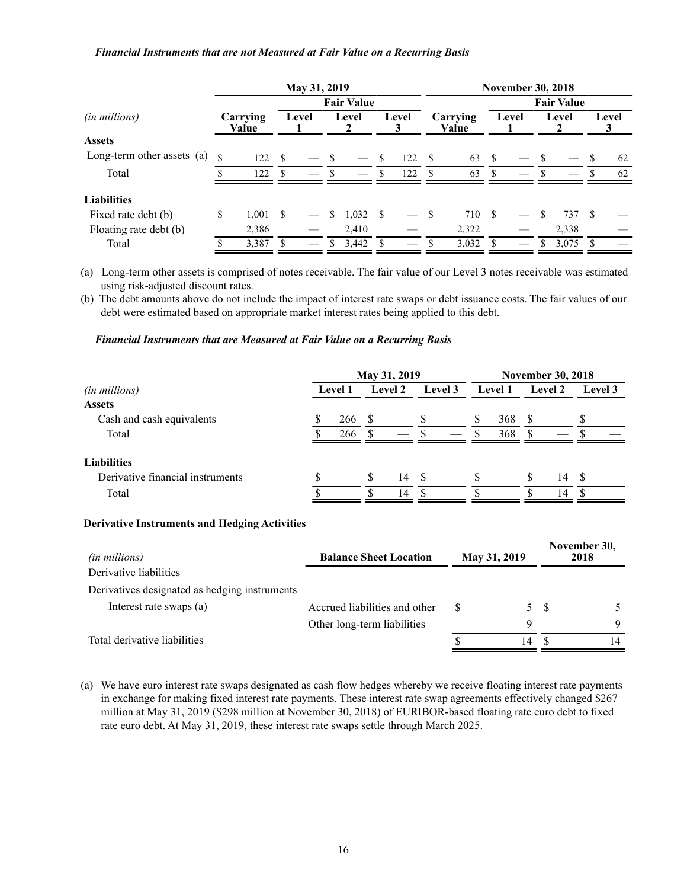### *Financial Instruments that are not Measured at Fair Value on a Recurring Basis*

|                            | May 31, 2019      |                   |     |       |      |       |              |                   |     | <b>November 30, 2018</b> |      |       |      |       |    |       |  |  |
|----------------------------|-------------------|-------------------|-----|-------|------|-------|--------------|-------------------|-----|--------------------------|------|-------|------|-------|----|-------|--|--|
|                            | <b>Fair Value</b> |                   |     |       |      |       |              | <b>Fair Value</b> |     |                          |      |       |      |       |    |       |  |  |
| (in millions)              |                   | Carrying<br>Value |     | Level |      | Level |              | Level             |     | Carrying<br>Value        |      | Level |      | Level |    | Level |  |  |
| <b>Assets</b>              |                   |                   |     |       |      |       |              |                   |     |                          |      |       |      |       |    |       |  |  |
| Long-term other assets (a) | \$.               | 122               | \$. |       | - \$ |       | <sup>S</sup> | 122               | -\$ | 63                       | - \$ |       | - \$ |       |    | 62    |  |  |
| Total                      |                   | 122               | \$. |       | S    |       | \$.          | 122               | -S  | 63                       | \$.  |       | -S   |       |    | 62    |  |  |
| <b>Liabilities</b>         |                   |                   |     |       |      |       |              |                   |     |                          |      |       |      |       |    |       |  |  |
| Fixed rate debt (b)        | \$                | 1.001             | \$  |       | S    | 1,032 | - \$         |                   | -8  | 710                      | \$.  |       | \$.  | 737   | -S |       |  |  |
| Floating rate debt (b)     |                   | 2,386             |     |       |      | 2,410 |              |                   |     | 2,322                    |      |       |      | 2,338 |    |       |  |  |
| Total                      |                   | 3,387             |     |       |      | 3,442 |              |                   |     | 3,032                    |      |       |      | 3,075 |    |       |  |  |

(a) Long-term other assets is comprised of notes receivable. The fair value of our Level 3 notes receivable was estimated using risk-adjusted discount rates.

(b) The debt amounts above do not include the impact of interest rate swaps or debt issuance costs. The fair values of our debt were estimated based on appropriate market interest rates being applied to this debt.

### *Financial Instruments that are Measured at Fair Value on a Recurring Basis*

|                                  | May 31, 2019   |     |         |                          |              |  | <b>November 30, 2018</b> |     |          |    |                |  |  |
|----------------------------------|----------------|-----|---------|--------------------------|--------------|--|--------------------------|-----|----------|----|----------------|--|--|
| (in millions)                    | <b>Level 1</b> |     | Level 2 |                          | Level 3      |  | <b>Level 1</b>           |     | Level 2  |    | <b>Level</b> 3 |  |  |
| <b>Assets</b>                    |                |     |         |                          |              |  |                          |     |          |    |                |  |  |
| Cash and cash equivalents        |                | 266 |         |                          |              |  | <sup>S</sup>             | 368 | <b>S</b> |    |                |  |  |
| Total                            |                | 266 |         | $\overline{\phantom{a}}$ |              |  | \$.                      | 368 |          |    |                |  |  |
| <b>Liabilities</b>               |                |     |         |                          |              |  |                          |     |          |    |                |  |  |
| Derivative financial instruments |                |     |         | 14                       | $\mathbf{s}$ |  | $\sim$ S                 |     |          | 14 |                |  |  |
| Total                            |                |     |         | 14                       | \$.          |  | \$.                      |     |          | 14 |                |  |  |

### **Derivative Instruments and Hedging Activities**

| (in millions)                                 | <b>Balance Sheet Location</b> | May 31, 2019 |    |    | November 30,<br>2018 |  |  |
|-----------------------------------------------|-------------------------------|--------------|----|----|----------------------|--|--|
| Derivative liabilities                        |                               |              |    |    |                      |  |  |
| Derivatives designated as hedging instruments |                               |              |    |    |                      |  |  |
| Interest rate swaps (a)                       | Accrued liabilities and other | S            |    | 5S |                      |  |  |
|                                               | Other long-term liabilities   |              |    |    | Q                    |  |  |
| Total derivative liabilities                  |                               |              | 14 |    | 14                   |  |  |

(a) We have euro interest rate swaps designated as cash flow hedges whereby we receive floating interest rate payments in exchange for making fixed interest rate payments. These interest rate swap agreements effectively changed \$267 million at May 31, 2019 (\$298 million at November 30, 2018) of EURIBOR-based floating rate euro debt to fixed rate euro debt. At May 31, 2019, these interest rate swaps settle through March 2025.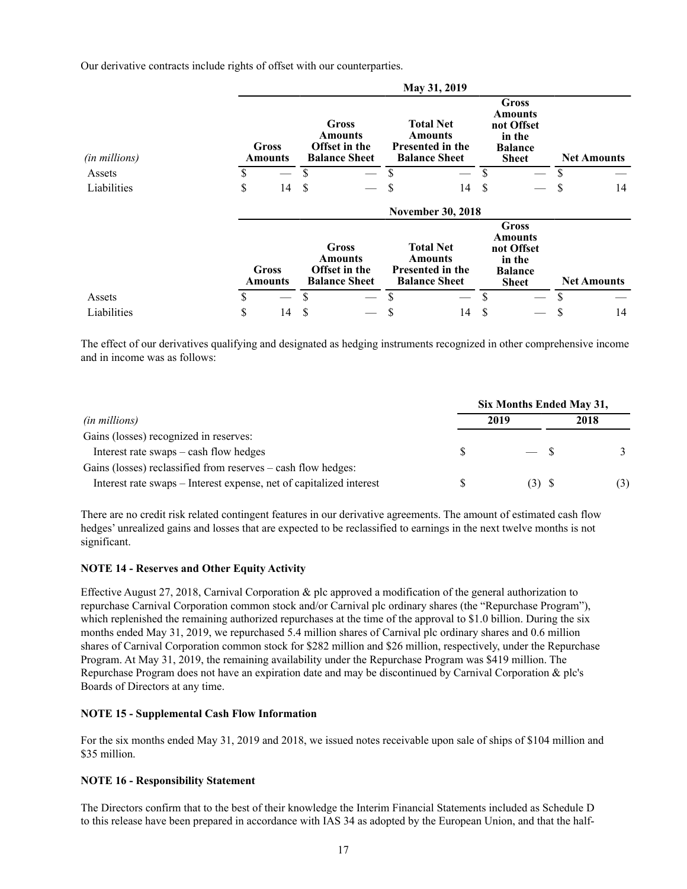Our derivative contracts include rights of offset with our counterparties.

|               |                          |    |                                                           |    | May 31, 2019                                                                          |    |                                                                                          |    |                    |  |  |
|---------------|--------------------------|----|-----------------------------------------------------------|----|---------------------------------------------------------------------------------------|----|------------------------------------------------------------------------------------------|----|--------------------|--|--|
| (in millions) | <b>Gross</b><br>Amounts  |    | Gross<br>Amounts<br>Offset in the<br><b>Balance Sheet</b> |    | <b>Total Net</b><br><b>Amounts</b><br>Presented in the<br><b>Balance Sheet</b>        |    | <b>Gross</b><br><b>Amounts</b><br>not Offset<br>in the<br><b>Balance</b><br><b>Sheet</b> |    | <b>Net Amounts</b> |  |  |
| Assets        | \$                       | S  |                                                           | S  |                                                                                       | \$ |                                                                                          |    |                    |  |  |
| Liabilities   | \$<br>14                 | S  |                                                           | \$ | 14                                                                                    | S  |                                                                                          | \$ | 14                 |  |  |
|               | <b>November 30, 2018</b> |    |                                                           |    |                                                                                       |    |                                                                                          |    |                    |  |  |
|               | <b>Gross</b><br>Amounts  |    | Gross<br>Amounts<br>Offset in the<br><b>Balance Sheet</b> |    | <b>Total Net</b><br><b>Amounts</b><br><b>Presented in the</b><br><b>Balance Sheet</b> |    | Gross<br>Amounts<br>not Offset<br>in the<br><b>Balance</b><br><b>Sheet</b>               |    | <b>Net Amounts</b> |  |  |
| Assets        | \$                       | \$ |                                                           | \$ |                                                                                       | \$ |                                                                                          |    |                    |  |  |
| Liabilities   | \$<br>14                 | S  |                                                           | \$ | 14                                                                                    | S  |                                                                                          | \$ | 14                 |  |  |

The effect of our derivatives qualifying and designated as hedging instruments recognized in other comprehensive income and in income was as follows:

|                                                                     | Six Months Ended May 31, |         |      |  |  |  |  |  |
|---------------------------------------------------------------------|--------------------------|---------|------|--|--|--|--|--|
| <i>(in millions)</i>                                                |                          | 2019    | 2018 |  |  |  |  |  |
| Gains (losses) recognized in reserves:                              |                          |         |      |  |  |  |  |  |
| Interest rate swaps – cash flow hedges                              |                          | $-$ \$  |      |  |  |  |  |  |
| Gains (losses) reclassified from reserves – cash flow hedges:       |                          |         |      |  |  |  |  |  |
| Interest rate swaps – Interest expense, net of capitalized interest |                          | $(3)$ S | (3)  |  |  |  |  |  |

There are no credit risk related contingent features in our derivative agreements. The amount of estimated cash flow hedges' unrealized gains and losses that are expected to be reclassified to earnings in the next twelve months is not significant.

# **NOTE 14 - Reserves and Other Equity Activity**

Effective August 27, 2018, Carnival Corporation & plc approved a modification of the general authorization to repurchase Carnival Corporation common stock and/or Carnival plc ordinary shares (the "Repurchase Program"), which replenished the remaining authorized repurchases at the time of the approval to \$1.0 billion. During the six months ended May 31, 2019, we repurchased 5.4 million shares of Carnival plc ordinary shares and 0.6 million shares of Carnival Corporation common stock for \$282 million and \$26 million, respectively, under the Repurchase Program. At May 31, 2019, the remaining availability under the Repurchase Program was \$419 million. The Repurchase Program does not have an expiration date and may be discontinued by Carnival Corporation & plc's Boards of Directors at any time.

### **NOTE 15 - Supplemental Cash Flow Information**

For the six months ended May 31, 2019 and 2018, we issued notes receivable upon sale of ships of \$104 million and \$35 million.

### **NOTE 16 - Responsibility Statement**

The Directors confirm that to the best of their knowledge the Interim Financial Statements included as Schedule D to this release have been prepared in accordance with IAS 34 as adopted by the European Union, and that the half